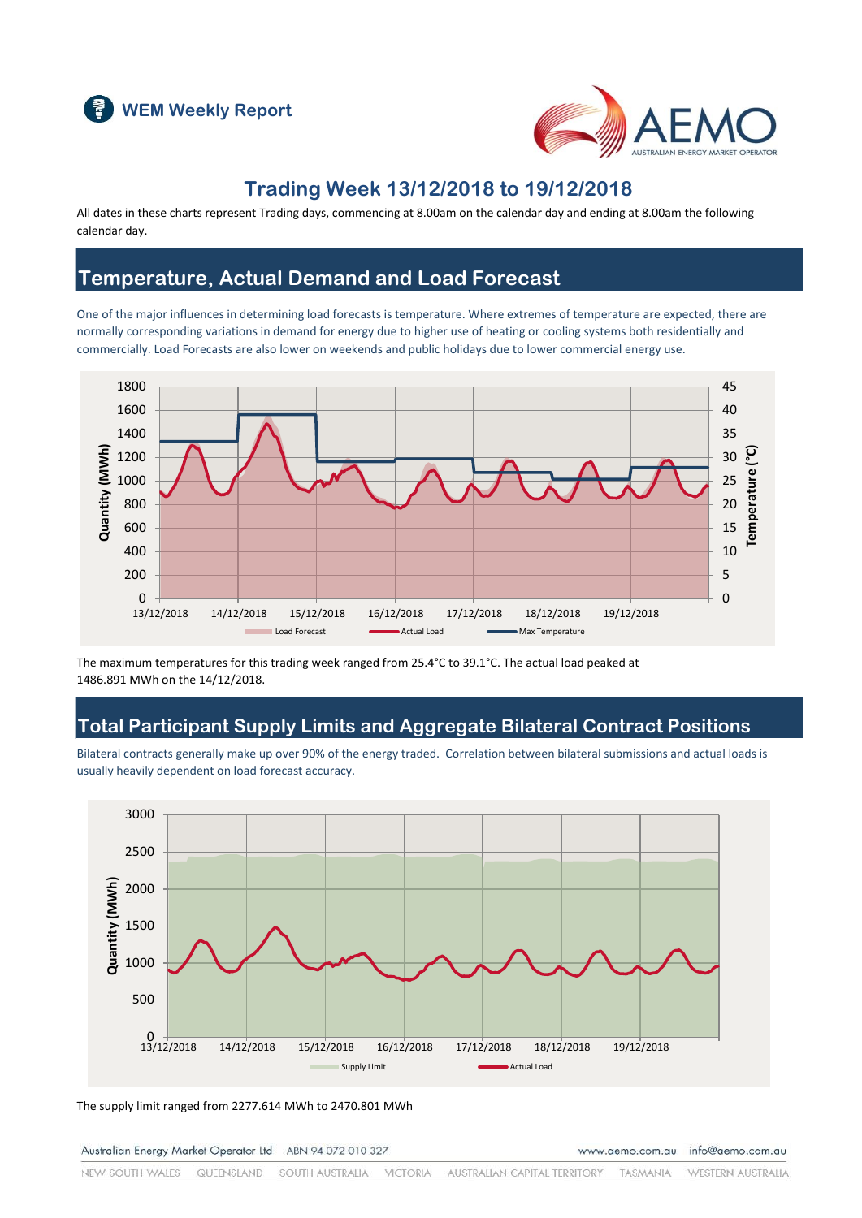



### **Trading Week 13/12/2018 to 19/12/2018**

All dates in these charts represent Trading days, commencing at 8.00am on the calendar day and ending at 8.00am the following calendar day.

#### **Temperature, Actual Demand and Load Forecast**

One of the major influences in determining load forecasts is temperature. Where extremes of temperature are expected, there are normally corresponding variations in demand for energy due to higher use of heating or cooling systems both residentially and commercially. Load Forecasts are also lower on weekends and public holidays due to lower commercial energy use.



The maximum temperatures for this trading week ranged from 25.4°C to 39.1°C. The actual load peaked at 1486.891 MWh on the 14/12/2018.

#### **Total Participant Supply Limits and Aggregate Bilateral Contract Positions**

Bilateral contracts generally make up over 90% of the energy traded. Correlation between bilateral submissions and actual loads is usually heavily dependent on load forecast accuracy.



The supply limit ranged from 2277.614 MWh to 2470.801 MWh

Australian Energy Market Operator Ltd ABN 94 072 010 327

www.aemo.com.au info@aemo.com.au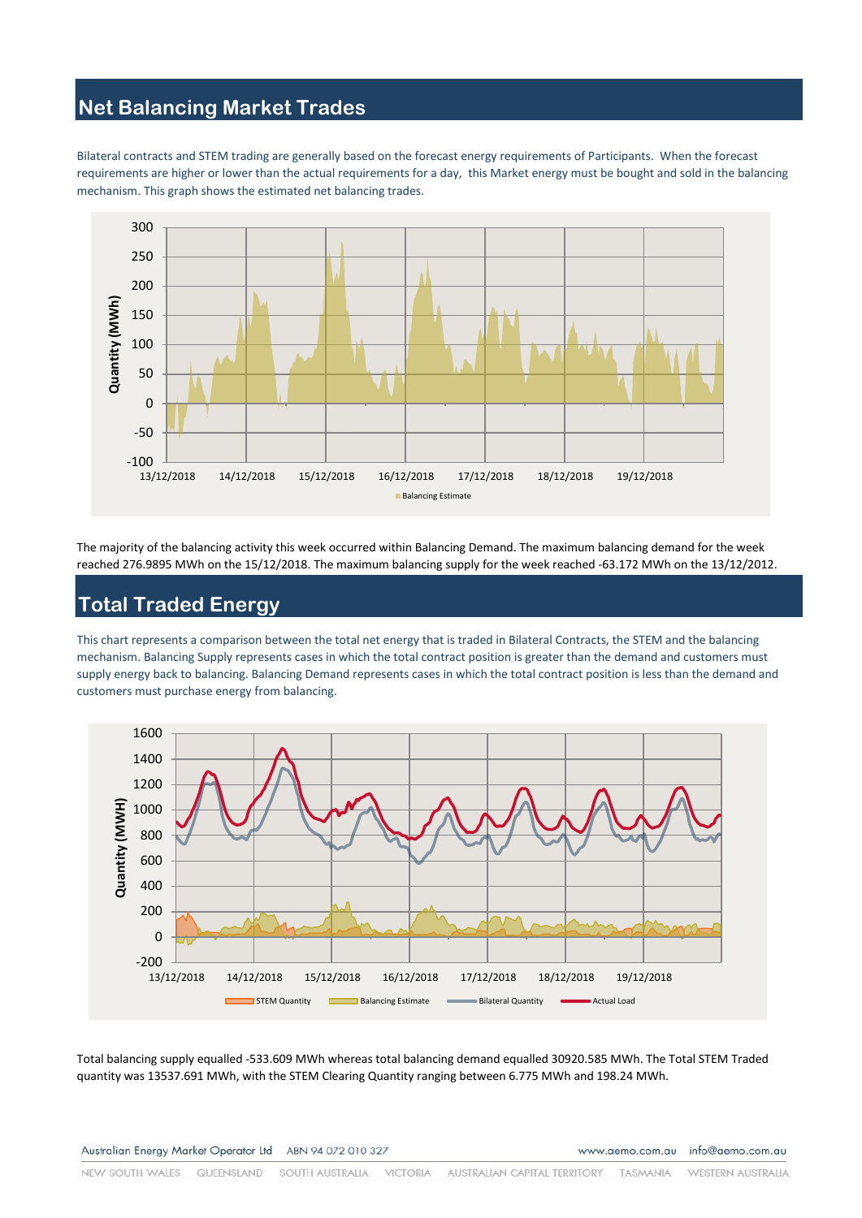### **Net Balancing Market Trades**

Bilateral contracts and STEM trading are generally based on the forecast energy requirements of Participants. When the forecast requirements are higher or lower than the actual requirements for a day, this Market energy must be bought and sold in the balancing mechanism. This graph shows the estimated net balancing trades.



The majority of the balancing activity this week occurred within Balancing Demand. The maximum balancing demand for the week reached 276.9895 MWh on the 15/12/2018. The maximum balancing supply for the week reached -63.172 MWh on the 13/12/2012.

# **Total Traded Energy**

This chart represents a comparison between the total net energy that is traded in Bilateral Contracts, the STEM and the balancing mechanism. Balancing Supply represents cases in which the total contract position is greater than the demand and customers must supply energy back to balancing. Balancing Demand represents cases in which the total contract position is less than the demand and customers must purchase energy from balancing.



Total balancing supply equalled -533.609 MWh whereas total balancing demand equalled 30920.585 MWh. The Total STEM Traded quantity was 13537.691 MWh, with the STEM Clearing Quantity ranging between 6.775 MWh and 198.24 MWh.